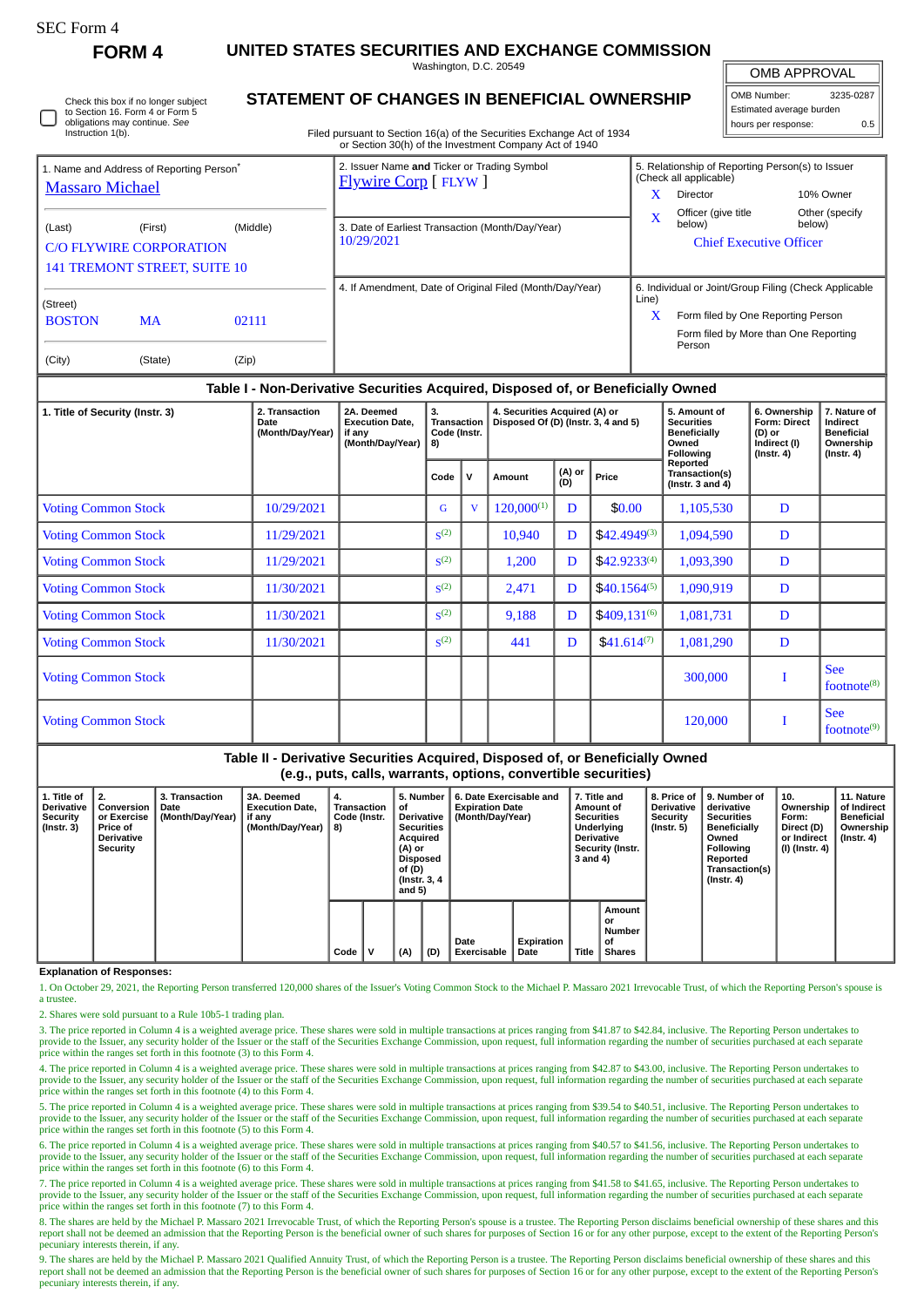| SEC Form 4 |  |
|------------|--|
|------------|--|

Instruction 1(b).

Check this box if no longer subject to Section 16. Form 4 or Form 5 obligations may continue. *See*

**FORM 4 UNITED STATES SECURITIES AND EXCHANGE COMMISSION**

Washington, D.C. 20549

OMB APPROVAL

| OMB Number:              | 3235-0287 |  |  |  |  |  |  |  |  |
|--------------------------|-----------|--|--|--|--|--|--|--|--|
| Estimated average burden |           |  |  |  |  |  |  |  |  |
| hours per response:      | 0.5       |  |  |  |  |  |  |  |  |

|  |  |  |  |  | STATEMENT OF CHANGES IN BENEFICIAL OWNERSHIP |
|--|--|--|--|--|----------------------------------------------|
|--|--|--|--|--|----------------------------------------------|

Filed pursuant to Section 16(a) of the Securities Exchange Act of 1934 or Section 30(h) of the Investment Company Act of 1940

|                                                                                |                                     |       | 0. Occasii ootii) of the mycothicht Oompany Alet of 1940                    |                                                                            |  |  |  |  |
|--------------------------------------------------------------------------------|-------------------------------------|-------|-----------------------------------------------------------------------------|----------------------------------------------------------------------------|--|--|--|--|
| 1. Name and Address of Reporting Person <sup>®</sup><br><b>Massaro Michael</b> |                                     |       | 2. Issuer Name and Ticker or Trading Symbol<br><b>Flywire Corp</b> [ FLYW ] | 5. Relationship of Reporting Person(s) to Issuer<br>(Check all applicable) |  |  |  |  |
|                                                                                |                                     |       |                                                                             | x<br><b>Director</b><br>10% Owner                                          |  |  |  |  |
| (Middle)<br>(Last)<br>(First)<br><b>C/O FLYWIRE CORPORATION</b>                |                                     |       | 3. Date of Earliest Transaction (Month/Day/Year)                            | Officer (give title<br>Other (specify<br>X<br>below)<br>below)             |  |  |  |  |
|                                                                                |                                     |       | 10/29/2021                                                                  | <b>Chief Executive Officer</b>                                             |  |  |  |  |
|                                                                                | <b>141 TREMONT STREET, SUITE 10</b> |       |                                                                             |                                                                            |  |  |  |  |
| (Street)                                                                       |                                     |       | 4. If Amendment, Date of Original Filed (Month/Day/Year)                    | 6. Individual or Joint/Group Filing (Check Applicable<br>Line)             |  |  |  |  |
| <b>BOSTON</b>                                                                  | MA                                  | 02111 |                                                                             | $\mathbf x$<br>Form filed by One Reporting Person                          |  |  |  |  |
|                                                                                |                                     |       |                                                                             | Form filed by More than One Reporting<br>Person                            |  |  |  |  |
| (City)                                                                         | (State)                             | (Zip) |                                                                             |                                                                            |  |  |  |  |

## **Table I - Non-Derivative Securities Acquired, Disposed of, or Beneficially Owned**

| 1. Title of Security (Instr. 3) | 2. Transaction<br>Date<br>(Month/Day/Year) | 2A. Deemed<br><b>Execution Date,</b><br>if any<br>(Month/Day/Year) | 3.<br>Transaction<br>Code (Instr.<br>8) |              | 4. Securities Acquired (A) or<br>Disposed Of (D) (Instr. 3, 4 and 5) |               |                   | 5. Amount of<br><b>Securities</b><br><b>Beneficially</b><br>Owned<br>Following | 6. Ownership<br>Form: Direct<br>(D) or<br>Indirect (I)<br>$($ Instr. 4 $)$ | 7. Nature of<br>Indirect<br><b>Beneficial</b><br>Ownership<br>$($ Instr. 4 $)$ |
|---------------------------------|--------------------------------------------|--------------------------------------------------------------------|-----------------------------------------|--------------|----------------------------------------------------------------------|---------------|-------------------|--------------------------------------------------------------------------------|----------------------------------------------------------------------------|--------------------------------------------------------------------------------|
|                                 |                                            |                                                                    | Code                                    | $\mathbf{V}$ | Amount                                                               | (A) or<br>(D) | Price             | Reported<br>Transaction(s)<br>( $lnstr. 3 and 4$ )                             |                                                                            |                                                                                |
| <b>Voting Common Stock</b>      | 10/29/2021                                 |                                                                    | G                                       | V            | $120,000^{(1)}$                                                      | D             | \$0.00            | 1,105,530                                                                      | D                                                                          |                                                                                |
| <b>Voting Common Stock</b>      | 11/29/2021                                 |                                                                    | S <sup>(2)</sup>                        |              | 10,940                                                               | D             | $$42.4949^{(3)}$$ | 1,094,590                                                                      | D                                                                          |                                                                                |
| <b>Voting Common Stock</b>      | 11/29/2021                                 |                                                                    | S <sup>(2)</sup>                        |              | 1,200                                                                | D             | $$42.9233^{(4)}$$ | 1,093,390                                                                      | D                                                                          |                                                                                |
| <b>Voting Common Stock</b>      | 11/30/2021                                 |                                                                    | S <sup>(2)</sup>                        |              | 2,471                                                                | D             | $$40.1564^{(5)}$$ | 1,090,919                                                                      | D                                                                          |                                                                                |
| <b>Voting Common Stock</b>      | 11/30/2021                                 |                                                                    | S <sup>(2)</sup>                        |              | 9,188                                                                | D             | $$409,131^{(6)}$  | 1,081,731                                                                      | D                                                                          |                                                                                |
| <b>Voting Common Stock</b>      | 11/30/2021                                 |                                                                    | S <sup>(2)</sup>                        |              | 441                                                                  | D             | $$41.614^{(7)}$   | 1,081,290                                                                      | D                                                                          |                                                                                |
| <b>Voting Common Stock</b>      |                                            |                                                                    |                                         |              |                                                                      |               |                   | 300,000                                                                        |                                                                            | <b>See</b><br>footnote <sup>(8)</sup>                                          |
| <b>Voting Common Stock</b>      |                                            |                                                                    |                                         |              |                                                                      |               |                   | 120,000                                                                        |                                                                            | <b>See</b><br>footnote $(9)$                                                   |

**Table II - Derivative Securities Acquired, Disposed of, or Beneficially Owned (e.g., puts, calls, warrants, options, convertible securities)**

| 1. Title of<br><b>Derivative</b><br>Security<br>$($ Instr. 3 $)$ | $\perp$ 2.<br>Conversion<br>or Exercise<br>Price of<br><b>Derivative</b><br>Security | 3. Transaction<br>Date<br>(Month/Day/Year) | 3A. Deemed<br><b>Execution Date.</b><br>  if any<br>(Month/Day/Year) | 4.<br>Transaction<br>Code (Instr.<br>8) |   | 5. Number<br>οf<br>Derivative<br><b>Securities</b><br>Acquired<br>(A) or<br>Disposed<br>of (D)<br>(Instr. 3, 4)<br>and $5)$<br>(A)<br>(D) |  | 6. Date Exercisable and<br><b>Expiration Date</b><br>(Month/Day/Year) |                    |       | 7. Title and<br>Amount of<br><b>Securities</b><br>Underlying<br><b>Derivative</b><br>Security (Instr.<br>3 and 4) | 8. Price of '<br><b>Derivative</b><br>Security<br>$($ Instr. 5 $)$ | 9. Number of<br>derivative<br><b>Securities</b><br><b>Beneficially</b><br>Owned<br>Following<br>Reported<br>Transaction(s)<br>$($ Instr. 4 $)$ | 10.<br>Ownership<br>Form:<br>Direct (D)<br>or Indirect<br>  (I) (Instr. 4) | 11. Nature<br>of Indirect<br><b>Beneficial</b><br>Ownership<br>(Instr. 4) |
|------------------------------------------------------------------|--------------------------------------------------------------------------------------|--------------------------------------------|----------------------------------------------------------------------|-----------------------------------------|---|-------------------------------------------------------------------------------------------------------------------------------------------|--|-----------------------------------------------------------------------|--------------------|-------|-------------------------------------------------------------------------------------------------------------------|--------------------------------------------------------------------|------------------------------------------------------------------------------------------------------------------------------------------------|----------------------------------------------------------------------------|---------------------------------------------------------------------------|
|                                                                  |                                                                                      |                                            |                                                                      | Code                                    | v |                                                                                                                                           |  | Date<br><b>Exercisable</b>                                            | Expiration<br>Date | Title | Amount<br>or<br>Number<br>οf<br><b>Shares</b>                                                                     |                                                                    |                                                                                                                                                |                                                                            |                                                                           |

**Explanation of Responses:**

1. On October 29, 2021, the Reporting Person transferred 120,000 shares of the Issuer's Voting Common Stock to the Michael P. Massaro 2021 Irrevocable Trust, of which the Reporting Person's spouse is a trustee.

2. Shares were sold pursuant to a Rule 10b5-1 trading plan.

3. The price reported in Column 4 is a weighted average price. These shares were sold in multiple transactions at prices ranging from \$41.87 to \$42.84, inclusive. The Reporting Person undertakes to provide to the Issuer, any security holder of the Issuer or the staff of the Securities Exchange Commission, upon request, full information regarding the number of securities purchased at each separate price within the ranges set forth in this footnote (3) to this Form 4.

4. The price reported in Column 4 is a weighted average price. These shares were sold in multiple transactions at prices ranging from \$42.87 to \$43.00, inclusive. The Reporting Person undertakes to provide to the Issuer, any security holder of the Issuer or the staff of the Securities Exchange Commission, upon request, full information regarding the number of securities purchased at each separate price within the ranges set forth in this footnote (4) to this Form 4.

5. The price reported in Column 4 is a weighted average price. These shares were sold in multiple transactions at prices ranging from \$39.54 to \$40.51, inclusive. The Reporting Person undertakes to provide to the Issuer, any security holder of the Issuer or the staff of the Securities Exchange Commission, upon request, full information regarding the number of securities purchased at each separate price within the ranges set forth in this footnote (5) to this Form 4.

6. The price reported in Column 4 is a weighted average price. These shares were sold in multiple transactions at prices ranging from \$40.57 to \$41.56, inclusive. The Reporting Person undertakes to provide to the Issuer, any security holder of the Issuer or the staff of the Securities Exchange Commission, upon request, full information regarding the number of securities purchased at each separate<br>price within the ran

7. The price reported in Column 4 is a weighted average price. These shares were sold in multiple transactions at prices ranging from \$41.58 to \$41.65, inclusive. The Reporting Person undertakes to provide to the Issuer, any security holder of the Issuer or the staff of the Securities Exchange Commission, upon request, full information regarding the number of securities purchased at each separate price within the ran

8. The shares are held by the Michael P. Massaro 2021 Irrevocable Trust, of which the Reporting Person's spouse is a trustee. The Reporting Person disclaims beneficial ownership of these shares and this<br>report shall not be pecuniary interests therein, if any

9. The shares are held by the Michael P. Massaro 2021 Qualified Annuity Trust, of which the Reporting Person is a trustee. The Reporting Person disclaims beneficial ownership of these shares and this<br>report shall not be de pecuniary interests therein, if any.